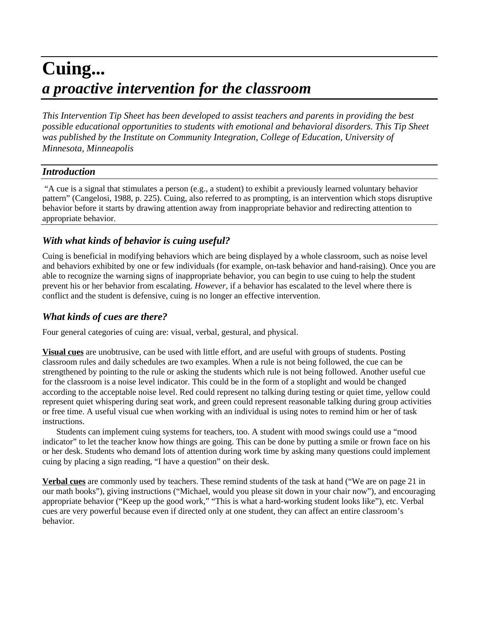# **Cuing...** *a proactive intervention for the classroom*

*This Intervention Tip Sheet has been developed to assist teachers and parents in providing the best possible educational opportunities to students with emotional and behavioral disorders. This Tip Sheet was published by the Institute on Community Integration, College of Education, University of Minnesota, Minneapolis*

## *Introduction*

 "A cue is a signal that stimulates a person (e.g., a student) to exhibit a previously learned voluntary behavior pattern" (Cangelosi, 1988, p. 225). Cuing, also referred to as prompting, is an intervention which stops disruptive behavior before it starts by drawing attention away from inappropriate behavior and redirecting attention to appropriate behavior.

# *With what kinds of behavior is cuing useful?*

Cuing is beneficial in modifying behaviors which are being displayed by a whole classroom, such as noise level and behaviors exhibited by one or few individuals (for example, on-task behavior and hand-raising). Once you are able to recognize the warning signs of inappropriate behavior, you can begin to use cuing to help the student prevent his or her behavior from escalating. *However*, if a behavior has escalated to the level where there is conflict and the student is defensive, cuing is no longer an effective intervention.

# *What kinds of cues are there?*

Four general categories of cuing are: visual, verbal, gestural, and physical.

**Visual cues** are unobtrusive, can be used with little effort, and are useful with groups of students. Posting classroom rules and daily schedules are two examples. When a rule is not being followed, the cue can be strengthened by pointing to the rule or asking the students which rule is not being followed. Another useful cue for the classroom is a noise level indicator. This could be in the form of a stoplight and would be changed according to the acceptable noise level. Red could represent no talking during testing or quiet time, yellow could represent quiet whispering during seat work, and green could represent reasonable talking during group activities or free time. A useful visual cue when working with an individual is using notes to remind him or her of task instructions.

Students can implement cuing systems for teachers, too. A student with mood swings could use a "mood indicator" to let the teacher know how things are going. This can be done by putting a smile or frown face on his or her desk. Students who demand lots of attention during work time by asking many questions could implement cuing by placing a sign reading, "I have a question" on their desk.

**Verbal cues** are commonly used by teachers. These remind students of the task at hand ("We are on page 21 in our math books"), giving instructions ("Michael, would you please sit down in your chair now"), and encouraging appropriate behavior ("Keep up the good work," "This is what a hard-working student looks like"), etc. Verbal cues are very powerful because even if directed only at one student, they can affect an entire classroom's behavior.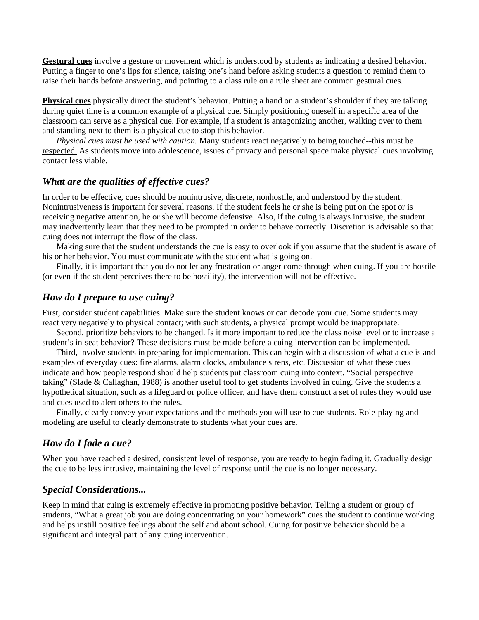**Gestural cues** involve a gesture or movement which is understood by students as indicating a desired behavior. Putting a finger to one's lips for silence, raising one's hand before asking students a question to remind them to raise their hands before answering, and pointing to a class rule on a rule sheet are common gestural cues.

**Physical cues** physically direct the student's behavior. Putting a hand on a student's shoulder if they are talking during quiet time is a common example of a physical cue. Simply positioning oneself in a specific area of the classroom can serve as a physical cue. For example, if a student is antagonizing another, walking over to them and standing next to them is a physical cue to stop this behavior.

*Physical cues must be used with caution.* Many students react negatively to being touched--this must be respected. As students move into adolescence, issues of privacy and personal space make physical cues involving contact less viable.

## *What are the qualities of effective cues?*

In order to be effective, cues should be nonintrusive, discrete, nonhostile, and understood by the student. Nonintrusiveness is important for several reasons. If the student feels he or she is being put on the spot or is receiving negative attention, he or she will become defensive. Also, if the cuing is always intrusive, the student may inadvertently learn that they need to be prompted in order to behave correctly. Discretion is advisable so that cuing does not interrupt the flow of the class.

Making sure that the student understands the cue is easy to overlook if you assume that the student is aware of his or her behavior. You must communicate with the student what is going on.

Finally, it is important that you do not let any frustration or anger come through when cuing. If you are hostile (or even if the student perceives there to be hostility), the intervention will not be effective.

### *How do I prepare to use cuing?*

First, consider student capabilities. Make sure the student knows or can decode your cue. Some students may react very negatively to physical contact; with such students, a physical prompt would be inappropriate.

Second, prioritize behaviors to be changed. Is it more important to reduce the class noise level or to increase a student's in-seat behavior? These decisions must be made before a cuing intervention can be implemented.

Third, involve students in preparing for implementation. This can begin with a discussion of what a cue is and examples of everyday cues: fire alarms, alarm clocks, ambulance sirens, etc. Discussion of what these cues indicate and how people respond should help students put classroom cuing into context. "Social perspective taking" (Slade & Callaghan, 1988) is another useful tool to get students involved in cuing. Give the students a hypothetical situation, such as a lifeguard or police officer, and have them construct a set of rules they would use and cues used to alert others to the rules.

Finally, clearly convey your expectations and the methods you will use to cue students. Role-playing and modeling are useful to clearly demonstrate to students what your cues are.

#### *How do I fade a cue?*

When you have reached a desired, consistent level of response, you are ready to begin fading it. Gradually design the cue to be less intrusive, maintaining the level of response until the cue is no longer necessary.

#### *Special Considerations...*

Keep in mind that cuing is extremely effective in promoting positive behavior. Telling a student or group of students, "What a great job you are doing concentrating on your homework" cues the student to continue working and helps instill positive feelings about the self and about school. Cuing for positive behavior should be a significant and integral part of any cuing intervention.